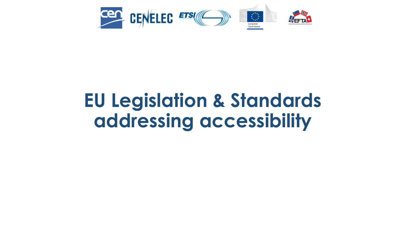

## **EU Legislation & Standards addressing accessibility**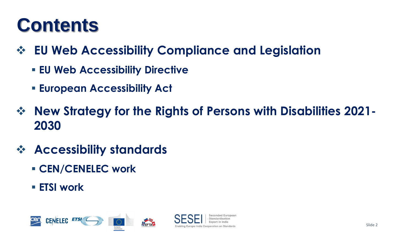### **Contents**

- ❖ **EU Web Accessibility Compliance and Legislation**
	- **EU Web Accessibility Directive**
	- **European Accessibility Act**
- ❖ **New Strategy for the Rights of Persons with Disabilities 2021- 2030**
- ❖ **Accessibility standards**
	- **CEN/CENELEC work**
	- **ETSI work**

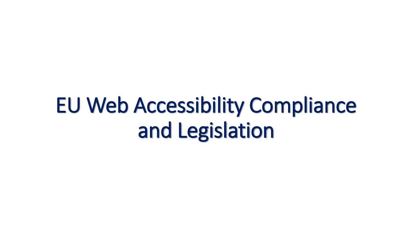# EU Web Accessibility Compliance and Legislation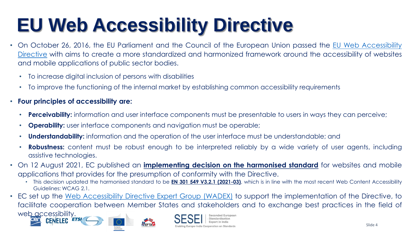# **EU Web Accessibility Directive**

- On October 26, 2016, the EU Parliament and the Council of the European Union passed the EU Web Accessibility Directive with aims to create a more [standardized](https://eur-lex.europa.eu/legal-content/en/TXT/?uri=CELEX%3A32016L2102) and harmonized framework around the accessibility of websites and mobile applications of public sector bodies.
	- To increase digital inclusion of persons with disabilities
	- To improve the functioning of the internal market by establishing common accessibility requirements
- **Four principles of accessibility are:**
	- **Perceivability:** information and user interface components must be presentable to users in ways they can perceive;
	- **Operability:** user interface components and navigation must be operable;

FETA

- **Understandability:** information and the operation of the user interface must be understandable; and
- **Robustness:** content must be robust enough to be interpreted reliably by a wide variety of user agents, including assistive technologies.
- On 12 August 2021, EC published an **[implementing](https://eur-lex.europa.eu/eli/dec_impl/2021/1339) decision on the harmonised standard** for websites and mobile applications that provides for the presumption of conformity with the Directive.
	- This decision updated the harmonised standard to be **EN 301 549 V3.2.1 [\(2021-03\)](https://www.etsi.org/deliver/etsi_en/301500_301599/301549/03.02.01_60/en_301549v030201p.pdf)**, which is in line with the most recent Web Content Accessibility Guidelines: WCAG 2.1.
- EC set up the Web [Accessibility](https://digital-strategy.ec.europa.eu/en/policies/wadex) Directive Expert Group (WADEX) to support the implementation of the Directive, to facilitate cooperation between Member States and stakeholders and to exchange best practices in the field of web accessibility.



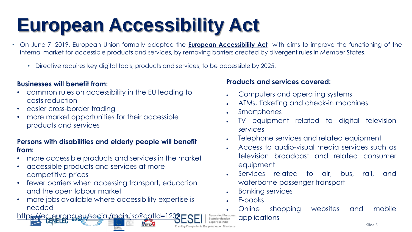# **European Accessibility Act**

- On June 7, 2019, European Union formally adopted the **European [Accessibility](https://eur-lex.europa.eu/legal-content/EN/TXT/?uri=COM%3A2015%3A0615%3AFIN) Act** with aims to improve the functioning of the internal market for accessible products and services, by removing barriers created by divergent rules in Member States.
	- Directive requires key digital tools, products and services, to be accessible by 2025.

#### **Businesses will benefit from:**

- common rules on accessibility in the EU leading to costs reduction
- easier cross-border trading
- more market opportunities for their accessible products and services

#### **Persons with disabilities and elderly people will benefit from:**

- more accessible products and services in the market
- accessible products and services at more competitive prices
- fewer barriers when accessing transport, education and the open labour market
- more jobs available where accessibility expertise is needed

<https://ec.europa.eu/social/main.jsp?catId=1202>

#### **Products and services covered:**

- Computers and operating systems
- ATMs, ticketing and check-in machines
- Smartphones
- TV equipment related to digital television services
- Telephone services and related equipment
- Access to audio-visual media services such as television broadcast and related consumer equipment
- Services related to air, bus, rail, and waterborne passenger transport
- Banking services
- E-books
- Online shopping websites and mobile

Seconded European applications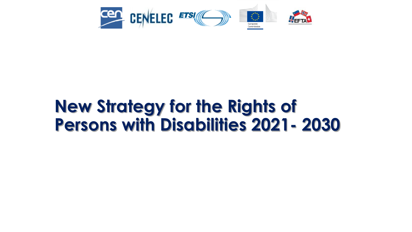

### **New Strategy for the Rights of Persons with Disabilities 2021- 2030**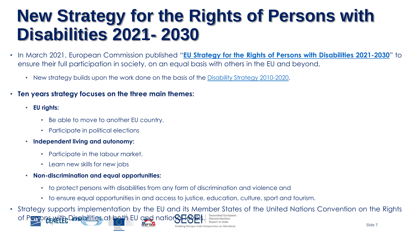### **New Strategy for the Rights of Persons with Disabilities 2021- 2030**

- In March 2021, European Commission published "**EU Strategy for the Rights of Persons with [Disabilities](file:///C:/Users/Nitin%20Sharma/Downloads/EDS%20news%20item%20ETR%20final%20(1).pdf) 2021-2030**" to ensure their full participation in society, on an equal basis with others in the EU and beyond.
	- New strategy builds upon the work done on the basis of the Disability Strategy [2010-2020.](https://eur-lex.europa.eu/legal-content/EN/TXT/?uri=LEGISSUM%3Aem0047)
- **Ten years strategy focuses on the three main themes:**
	- **EU rights:**
		- Be able to move to another EU country.
		- Participate in political elections
	- **Independent living and autonomy:**
		- Participate in the labour market.
		- Learn new skills for new jobs
	- **Non-discrimination and equal opportunities:**
		- to protect persons with disabilities from any form of discrimination and violence and
		- to ensure equal opportunities in and access to justice, education, culture, sport and tourism.
- Slide 7 • Strategy supports implementation by the EU and its Member States of the United Nations Convention on the Rights of Persons with Disabilities at both EU and national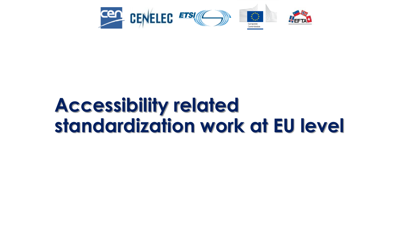

### **Accessibility related standardization work at EU level**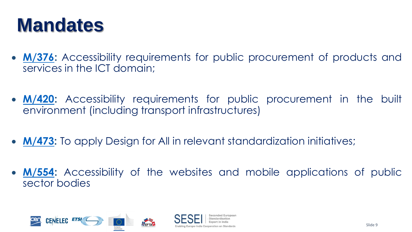### **Mandates**

- **[M/376:](https://ec.europa.eu/growth/tools-databases/mandates/index.cfm?fuseaction=search.detail&id=333)** Accessibility requirements for public procurement of products and services in the ICT domain;
- **[M/420:](https://ec.europa.eu/growth/tools-databases/mandates/index.cfm?fuseaction=search.detail&id=392)** Accessibility requirements for public procurement in the built environment (including transport infrastructures)
- **[M/473:](https://ec.europa.eu/growth/tools-databases/mandates/index.cfm?fuseaction=search.detail&id=461)** To apply Design for All in relevant standardization initiatives;
- **[M/554:](https://ec.europa.eu/growth/tools-databases/mandates/index.cfm?fuseaction=search.detail&id=577)** Accessibility of the websites and mobile applications of public sector bodies

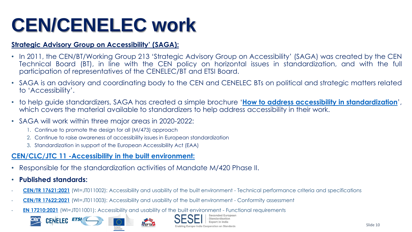# **CEN/CENELEC work**

#### **Strategic Advisory Group on Accessibility' (SAGA):**

- In 2011, the CEN/BT/Working Group 213 'Strategic Advisory Group on Accessibility' (SAGA) was created by the CEN Technical Board (BT), in line with the CEN policy on horizontal issues in standardization, and with the full participation of representatives of the CENELEC/BT and ETSI Board.
- SAGA is an advisory and coordinating body to the CEN and CENELEC BTs on political and strategic matters related to 'Accessibility'.
- to help guide standardizers, SAGA has created a simple brochure '**How to address accessibility in [standardization](https://www.cencenelec.eu/media/CEN-CENELEC/Areas%20of%20Work/CEN-CENELEC%20Topics/Accessibility/Intro/Quicklinks%20Guides/brochure_saga_acces.pdf)**', which covers the material available to standardizers to help address accessibility in their work.
- SAGA will work within three major areas in 2020-2022:
	- 1. Continue to promote the design for all (M/473) approach
	- 2. Continue to raise awareness of accessibility issues in European standardization
	- 3. Standardization in support of the European Accessibility Act (EAA)

#### **[CEN/CLC/JTC](https://standards.cencenelec.eu/dyn/www/f?p=205:7:0::::FSP_ORG_ID:2274045&cs=1722202B1DF8AC2E85DFDF297E8F7B95B) 11 -Accessibility in the built environment:**

- Responsible for the standardization activities of Mandate M/420 Phase II.
- **Published standards:**
- **CEN/TR [17621:2021](https://standards.cencenelec.eu/dyn/www/f?p=205:110:0::::FSP_PROJECT:65252&cs=1BDC7CB6A2B4C7180C9F15F4D76955BEC)** (WI=JT011002): Accessibility and usability of the built environment Technical performance criteria and specifications
- **CEN/TR [17622:2021](https://standards.cencenelec.eu/dyn/www/f?p=205:110:0::::FSP_PROJECT:72494&cs=1824D0D987552C023CD00B9585B51D4CB)** (WI=JT011003): Accessibility and usability of the built environment Conformity assessment
- **EN [17210:2021](https://standards.cencenelec.eu/dyn/www/f?p=205:110:0::::FSP_PROJECT:65077&cs=12B383BC5BA5C8664FC636BD53111B23D)** (WI=JT011001): Accessibility and usability of the built environment Functional requirements





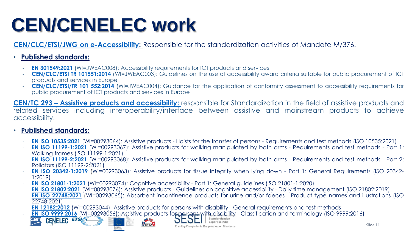# **CEN/CENELEC work**

**[CEN/CLC/ETSI/JWG](https://standards.cencenelec.eu/dyn/www/f?p=205:32:0::::FSP_ORG_ID,FSP_LANG_ID:855949,25&cs=13B53D7BA6C19E631C9C6010E009CA186) on e-Accessibility:** Responsible for the standardization activities of Mandate M/376.

#### • **Published standards:**

- **EN [301549:2021](https://standards.cencenelec.eu/dyn/www/f?p=205:110:0::::FSP_PROJECT:72841&cs=1CECAE8F0020ADBC373E305AEEBB0442E)** (WI=JWEAC008): Accessibility requirements for ICT products and services
- **[CEN/CLC/ETSI](https://standards.cencenelec.eu/dyn/www/f?p=205:110:0::::FSP_PROJECT:37054&cs=1BAA610CD516426825AE97A0EE8F78C36) TR 101551:2014** (WI=JWEAC003): Guidelines on the use of accessibility award criteria suitable for public procurement of ICT products and services in Europe
- **[CEN/CLC/ETSI/TR](https://standards.cencenelec.eu/dyn/www/f?p=205:110:0::::FSP_PROJECT:37055&cs=1B01C807C9CB20A50C1A7059541207293) 101 552:2014** (WI=JWEAC004): Guidance for the application of conformity assessment to accessibility requirements for public procurement of ICT products and services in Europe

**CEN/TC 293 – Assistive products and [accessibility:](https://standards.cencenelec.eu/dyn/www/f?p=205:7:0::::FSP_ORG_ID:6274&cs=1DA9319C3F7CA61FB811523B29BFE6820)** responsible for Standardization in the field of assistive products and related services including interoperability/interface between assistive and mainstream products to achieve accessibility.

#### • **Published standards:**

- **EN ISO [10535:2021](https://standards.cencenelec.eu/dyn/www/f?p=205:110:0::::FSP_PROJECT:64348&cs=1C1E50DB8AF1228BBBD8FB5D2CF081EE8)** (WI=00293064): Assistive products Hoists for the transfer of persons Requirements and test methods (ISO 10535:2021)
- **EN ISO [11199-1:2021](https://standards.cencenelec.eu/dyn/www/f?p=205:110:0::::FSP_PROJECT:68992&cs=132AC9FB4DD6112DEAA0D7CD3887F96C5)** (WI=00293067): Assistive products for walking manipulated by both arms Requirements and test methods Part 1: Walking frames (ISO 11199-1:2021)
- **EN ISO [11199-2:2021](https://standards.cencenelec.eu/dyn/www/f?p=205:110:0::::FSP_PROJECT:68995&cs=133CE22DF6F2CEE61CE3026EB0E4DB8A1)** (WI=00293068): Assistive products for walking manipulated by both arms Requirements and test methods Part 2: Rollators (ISO 11199-2:2021)
- **EN ISO [20342-1:2019](https://standards.cencenelec.eu/dyn/www/f?p=205:110:0::::FSP_PROJECT:64346&cs=100FC375A7C026BBE8A3298668D19DBA4)** (WI=00293063): Assistive products for tissue integrity when lying down Part 1: General Requirements (ISO 20342- 1:2019)
- **EN ISO [21801-1:2021](https://standards.cencenelec.eu/dyn/www/f?p=205:110:0::::FSP_PROJECT:72294&cs=19F8D5D96024471F1803E2F82D92F234E)** (WI=00293074): Cognitive accessibility Part 1: General guidelines (ISO 21801-1:2020)

FFTA

- **EN ISO [21802:2021](https://standards.cencenelec.eu/dyn/www/f?p=205:110:0::::FSP_PROJECT:73098&cs=1FADE4122507B298DABAF4B636CF72F97)** (WI=00293076): Assistive products Guidelines on cognitive accessibility Daily time management (ISO 21802:2019)
- **EN ISO [22748:2021](https://standards.cencenelec.eu/dyn/www/f?p=205:110:0::::FSP_PROJECT:66492&cs=1F82CC186E1165F30CAE0AE43F6AC6DCC)** (WI=00293065): Absorbent incontinence products for urine and/or faeces Product type names and illustrations (ISO 22748:2021)
- **EN** [12182:2012](https://standards.cencenelec.eu/dyn/www/f?p=205:110:0::::FSP_PROJECT:30940&cs=1C9F66DBCA451AD8BD3A73A5B82AD5C71) (WI=00293044): Assistive products for persons with disability General requirements and test methods
- **EN ISO [9999:2016](https://standards.cencenelec.eu/dyn/www/f?p=205:110:0::::FSP_PROJECT:37823&cs=1466BB9AFD5F64E75C8B588BF6A4DB6C4)** (WI=00293056): Assistive products for persons with discriptive Classification and terminology (ISO 9999:2016)<br>**CENELEC ETS! Expert in India**



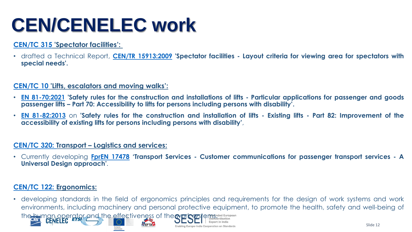# **CEN/CENELEC work**

#### **[CEN/TC](https://standards.cencenelec.eu/dyn/www/f?p=205:7:0::::FSP_ORG_ID:6296&cs=1ECEDB03AF3B4688A169454DCD2A94675) 315 'Spectator facilities':**

• drafted a Technical Report, **CEN/TR [15913:2009](https://standards.cencenelec.eu/dyn/www/f?p=CEN:110:0::::FSP_PROJECT,FSP_ORG_ID:32554,6296&cs=19188380E1B708F6CF911C08D18C787A8) 'Spectator facilities - Layout criteria for viewing area for spectators with special needs'.**

#### **[CEN/TC](https://standards.cencenelec.eu/dyn/www/f?p=205:7:0::::FSP_ORG_ID:5994&cs=1F29FAC9CFD9317AE1AC60301E4E95386) 10 'Lifts, escalators and moving walks':**

- EN [81-70:2021](https://standards.cencenelec.eu/dyn/www/f?p=CEN:110:0::::FSP_PROJECT,FSP_ORG_ID:66363,5994&cs=194154A171F561E5426E3B23FE2FCA6A4) 'Safety rules for the construction and installations of lifts Particular applications for passenger and goods **passenger lifts – Part 70: Accessibility to lifts for persons including persons with disability'.**
- EN [81-82:2013](https://standards.cencenelec.eu/dyn/www/f?p=CEN:110:0::::FSP_PROJECT,FSP_ORG_ID:34613,5994&cs=1B92D3C02F48C904ACAE4A733890B0941) on 'Safety rules for the construction and installation of lifts Existing lifts Part 82: Improvement of the **accessibility of existing lifts for persons including persons with disability'**,

#### **[CEN/TC](https://standards.cencenelec.eu/dyn/www/f?p=205:7:0::::FSP_ORG_ID:6301&cs=1BAEBFD72D540A02FA73DBF8A9D7D4CD3) 320: Transport – Logistics and services:**

• Currently developing **FprEN [17478](https://standards.cencenelec.eu/dyn/www/f?p=CEN:110:0::::FSP_PROJECT,FSP_ORG_ID:69005,6301&cs=1284F1454FB82332D1B2016E9F4510154) 'Transport Services - Customer communications for passenger transport services - A Universal Design approach'***.*

#### **[CEN/TC](https://standards.cencenelec.eu/dyn/www/f?p=205:7:0::::FSP_ORG_ID:6104&cs=1DE0B1DD84DBF1A3215C0969AEA69A04D) 122: Ergonomics:**

• developing standards in the field of ergonomics principles and requirements for the design of work systems and work environments, including machinery and personal protective equipment, to promote the health, safety and well-being of the human operator and the effectiveness of the work systems de European Enabling Europe-India Cooperation on Standards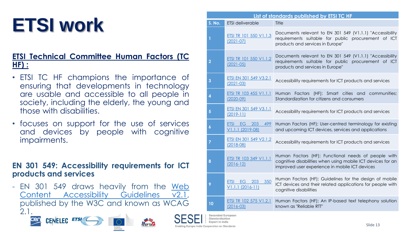# **ETSI work**

#### **ETSI Technical Committee Human Factors (TC HF) :**

- ETSI TC HF champions the importance of ensuring that developments in technology are usable and accessible to all people in society, including the elderly, the young and those with disabilities.
- focuses on support for the use of services and devices by people with cognitive impairments.

#### **EN 301 549: Accessibility requirements for ICT products and services**

- EN 301 549 draws heavily from the Web Content [Accessibility](https://www.w3.org/TR/WCAG21/) Guidelines v2.1, published by the W3C and known as WCAG 2.1.





FETA



Seconded European Standardication

| List of standards published by ETSI TC HF |                                                                   |                                                                                                                                                                      |
|-------------------------------------------|-------------------------------------------------------------------|----------------------------------------------------------------------------------------------------------------------------------------------------------------------|
| <b>S. No.</b>                             | <b>ETSI</b> deliverable                                           | Title                                                                                                                                                                |
| 1                                         | ETSI TR 101 550 V1.1.3<br>$(2021 - 07)$                           | Documents relevant to EN 301 549 (V1.1.1) "Accessibility<br>requirements suitable for public procurement of ICT<br>products and services in Europe"                  |
| $\overline{2}$                            | ETSI TR 101 550 V1.1.2<br>$(2021 - 05)$                           | Documents relevant to EN 301 549 (V1.1.1) "Accessibility<br>requirements suitable for public procurement of ICT<br>products and services in Europe"                  |
| 3                                         | ETSI EN 301 549 V3.2.1<br>$(2021 - 03)$                           | Accessibility requirements for ICT products and services                                                                                                             |
| 4                                         | <b>ETSI TR 103 455 V1.1.1</b><br>$(2020-09)$                      | Human Factors (HF); Smart cities and communities;<br>Standardization for citizens and consumers                                                                      |
| 5                                         | ETSI EN 301 549 V3.1.1<br>$(2019-11)$                             | Accessibility requirements for ICT products and services                                                                                                             |
| $\boldsymbol{6}$                          | EG <sub></sub><br>203<br>499<br><b>ETSI</b><br>$V1.1.1$ (2019-08) | Human Factors (HF); User-centred terminology for existing<br>and upcoming ICT devices, services and applications                                                     |
| $\overline{7}$                            | ETSI EN 301 549 V2.1.2<br>$(2018-08)$                             | Accessibility requirements for ICT products and services                                                                                                             |
| 8                                         | ETSI TR 103 349 V1.1.1<br>$(2016-12)$                             | Human Factors (HF); Functional needs of people with<br>cognitive disabilities when using mobile ICT devices for an<br>improved user experience in mobile ICT devices |
| 9                                         | 350<br><b>ETSI EG 203</b><br>$V1.1.1 (2016-11)$                   | Human Factors (HF); Guidelines for the design of mobile<br>ICT devices and their related applications for people with<br>cognitive disabilities                      |
| 10                                        | <b>ETSI TR 102 575 V1.2.1</b><br>$(2016 - 03)$                    | Human Factors (HF); An IP-based text telephony solution<br>known as "Reliable RTT"                                                                                   |